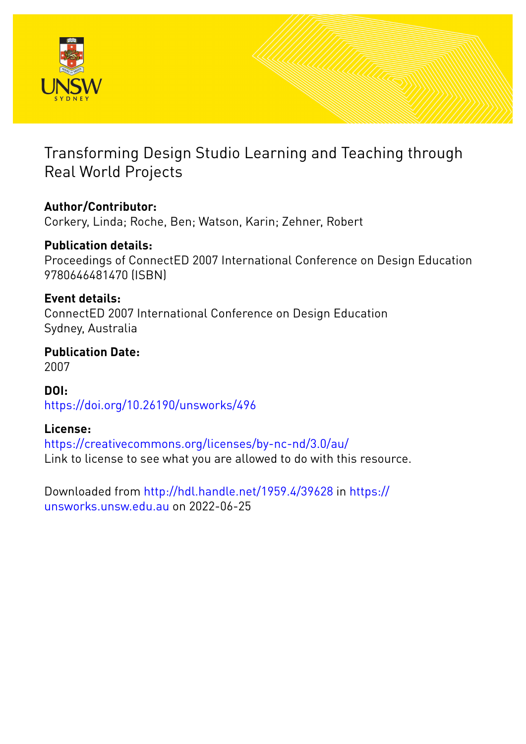

## Transforming Design Studio Learning and Teaching through Real World Projects

## **Author/Contributor:**

Corkery, Linda; Roche, Ben; Watson, Karin; Zehner, Robert

### **Publication details:**

Proceedings of ConnectED 2007 International Conference on Design Education 9780646481470 (ISBN)

### **Event details:**

ConnectED 2007 International Conference on Design Education Sydney, Australia

### **Publication Date:** 2007

**DOI:** [https://doi.org/10.26190/unsworks/496](http://dx.doi.org/https://doi.org/10.26190/unsworks/496)

### **License:**

<https://creativecommons.org/licenses/by-nc-nd/3.0/au/> Link to license to see what you are allowed to do with this resource.

Downloaded from <http://hdl.handle.net/1959.4/39628> in [https://](https://unsworks.unsw.edu.au) [unsworks.unsw.edu.au](https://unsworks.unsw.edu.au) on 2022-06-25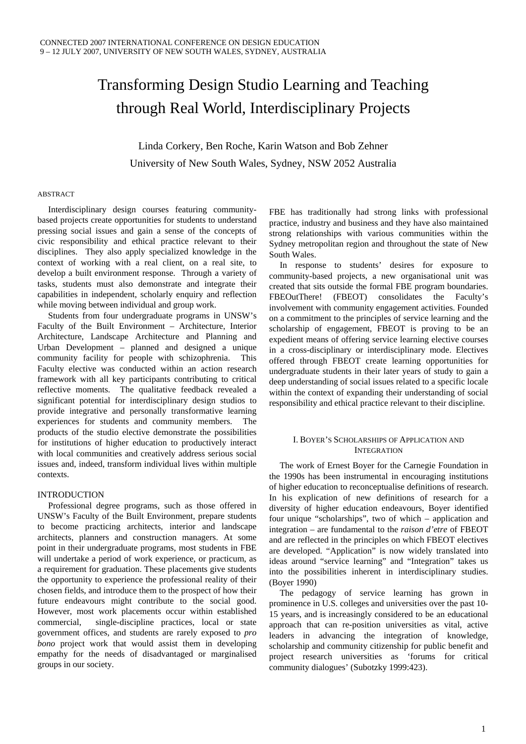# Transforming Design Studio Learning and Teaching through Real World, Interdisciplinary Projects

Linda Corkery, Ben Roche, Karin Watson and Bob Zehner University of New South Wales, Sydney, NSW 2052 Australia

#### ABSTRACT

 Interdisciplinary design courses featuring communitybased projects create opportunities for students to understand pressing social issues and gain a sense of the concepts of civic responsibility and ethical practice relevant to their disciplines. They also apply specialized knowledge in the context of working with a real client, on a real site, to develop a built environment response. Through a variety of tasks, students must also demonstrate and integrate their capabilities in independent, scholarly enquiry and reflection while moving between individual and group work.

 Students from four undergraduate programs in UNSW's Faculty of the Built Environment – Architecture, Interior Architecture, Landscape Architecture and Planning and Urban Development – planned and designed a unique community facility for people with schizophrenia. This Faculty elective was conducted within an action research framework with all key participants contributing to critical reflective moments. The qualitative feedback revealed a significant potential for interdisciplinary design studios to provide integrative and personally transformative learning experiences for students and community members. The products of the studio elective demonstrate the possibilities for institutions of higher education to productively interact with local communities and creatively address serious social issues and, indeed, transform individual lives within multiple contexts.

#### INTRODUCTION

 Professional degree programs, such as those offered in UNSW's Faculty of the Built Environment, prepare students to become practicing architects, interior and landscape architects, planners and construction managers. At some point in their undergraduate programs, most students in FBE will undertake a period of work experience, or practicum, as a requirement for graduation. These placements give students the opportunity to experience the professional reality of their chosen fields, and introduce them to the prospect of how their future endeavours might contribute to the social good. However, most work placements occur within established commercial, single-discipline practices, local or state government offices, and students are rarely exposed to *pro bono* project work that would assist them in developing empathy for the needs of disadvantaged or marginalised groups in our society.

FBE has traditionally had strong links with professional practice, industry and business and they have also maintained strong relationships with various communities within the Sydney metropolitan region and throughout the state of New South Wales.

 In response to students' desires for exposure to community-based projects, a new organisational unit was created that sits outside the formal FBE program boundaries. FBEOutThere! (FBEOT) consolidates the Faculty's involvement with community engagement activities. Founded on a commitment to the principles of service learning and the scholarship of engagement, FBEOT is proving to be an expedient means of offering service learning elective courses in a cross-disciplinary or interdisciplinary mode. Electives offered through FBEOT create learning opportunities for undergraduate students in their later years of study to gain a deep understanding of social issues related to a specific locale within the context of expanding their understanding of social responsibility and ethical practice relevant to their discipline.

#### I. BOYER'S SCHOLARSHIPS OF APPLICATION AND **INTEGRATION**

 The work of Ernest Boyer for the Carnegie Foundation in the 1990s has been instrumental in encouraging institutions of higher education to reconceptualise definitions of research. In his explication of new definitions of research for a diversity of higher education endeavours, Boyer identified four unique "scholarships", two of which – application and integration – are fundamental to the *raison d'etre* of FBEOT and are reflected in the principles on which FBEOT electives are developed. "Application" is now widely translated into ideas around "service learning" and "Integration" takes us into the possibilities inherent in interdisciplinary studies. (Boyer 1990)

 The pedagogy of service learning has grown in prominence in U.S. colleges and universities over the past 10- 15 years, and is increasingly considered to be an educational approach that can re-position universities as vital, active leaders in advancing the integration of knowledge, scholarship and community citizenship for public benefit and project research universities as 'forums for critical community dialogues' (Subotzky 1999:423).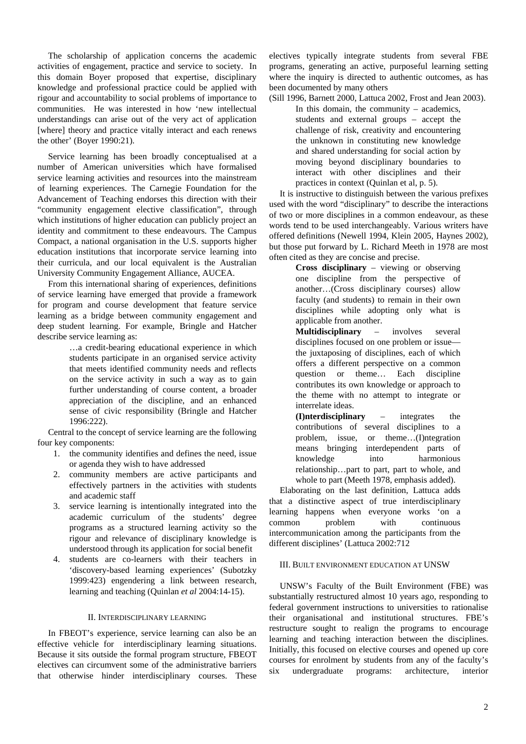The scholarship of application concerns the academic activities of engagement, practice and service to society. In this domain Boyer proposed that expertise, disciplinary knowledge and professional practice could be applied with rigour and accountability to social problems of importance to communities. He was interested in how 'new intellectual understandings can arise out of the very act of application [where] theory and practice vitally interact and each renews the other' (Boyer 1990:21).

 Service learning has been broadly conceptualised at a number of American universities which have formalised service learning activities and resources into the mainstream of learning experiences. The Carnegie Foundation for the Advancement of Teaching endorses this direction with their "community engagement elective classification", through which institutions of higher education can publicly project an identity and commitment to these endeavours. The Campus Compact, a national organisation in the U.S. supports higher education institutions that incorporate service learning into their curricula, and our local equivalent is the Australian University Community Engagement Alliance, AUCEA.

 From this international sharing of experiences, definitions of service learning have emerged that provide a framework for program and course development that feature service learning as a bridge between community engagement and deep student learning. For example, Bringle and Hatcher describe service learning as:

> …a credit-bearing educational experience in which students participate in an organised service activity that meets identified community needs and reflects on the service activity in such a way as to gain further understanding of course content, a broader appreciation of the discipline, and an enhanced sense of civic responsibility (Bringle and Hatcher 1996:222).

Central to the concept of service learning are the following four key components:

- 1. the community identifies and defines the need, issue or agenda they wish to have addressed
- 2. community members are active participants and effectively partners in the activities with students and academic staff
- 3. service learning is intentionally integrated into the academic curriculum of the students' degree programs as a structured learning activity so the rigour and relevance of disciplinary knowledge is understood through its application for social benefit
- 4. students are co-learners with their teachers in 'discovery-based learning experiences' (Subotzky 1999:423) engendering a link between research, learning and teaching (Quinlan *et al* 2004:14-15).

#### II. INTERDISCIPLINARY LEARNING

 In FBEOT's experience, service learning can also be an effective vehicle for interdisciplinary learning situations. Because it sits outside the formal program structure, FBEOT electives can circumvent some of the administrative barriers that otherwise hinder interdisciplinary courses. These

electives typically integrate students from several FBE programs, generating an active, purposeful learning setting where the inquiry is directed to authentic outcomes, as has been documented by many others

(Sill 1996, Barnett 2000, Lattuca 2002, Frost and Jean 2003). In this domain, the community – academics, students and external groups – accept the challenge of risk, creativity and encountering the unknown in constituting new knowledge and shared understanding for social action by moving beyond disciplinary boundaries to interact with other disciplines and their practices in context (Quinlan et al, p. 5).

 It is instructive to distinguish between the various prefixes used with the word "disciplinary" to describe the interactions of two or more disciplines in a common endeavour, as these words tend to be used interchangeably. Various writers have offered definitions (Newell 1994, Klein 2005, Haynes 2002), but those put forward by L. Richard Meeth in 1978 are most often cited as they are concise and precise.

> **Cross disciplinary** – viewing or observing one discipline from the perspective of another…(Cross disciplinary courses) allow faculty (and students) to remain in their own disciplines while adopting only what is applicable from another.

> **Multidisciplinary** – involves several disciplines focused on one problem or issue the juxtaposing of disciplines, each of which offers a different perspective on a common question or theme… Each discipline contributes its own knowledge or approach to the theme with no attempt to integrate or interrelate ideas.

**(I)nterdisciplinary** – integrates the contributions of several disciplines to a problem, issue, or theme…(I)ntegration means bringing interdependent parts of knowledge into harmonious relationship…part to part, part to whole, and whole to part (Meeth 1978, emphasis added).

 Elaborating on the last definition, Lattuca adds that a distinctive aspect of true interdisciplinary learning happens when everyone works 'on a common problem with continuous intercommunication among the participants from the different disciplines' (Lattuca 2002:712

#### III. BUILT ENVIRONMENT EDUCATION AT UNSW

 UNSW's Faculty of the Built Environment (FBE) was substantially restructured almost 10 years ago, responding to federal government instructions to universities to rationalise their organisational and institutional structures. FBE's restructure sought to realign the programs to encourage learning and teaching interaction between the disciplines. Initially, this focused on elective courses and opened up core courses for enrolment by students from any of the faculty's six undergraduate programs: architecture, interior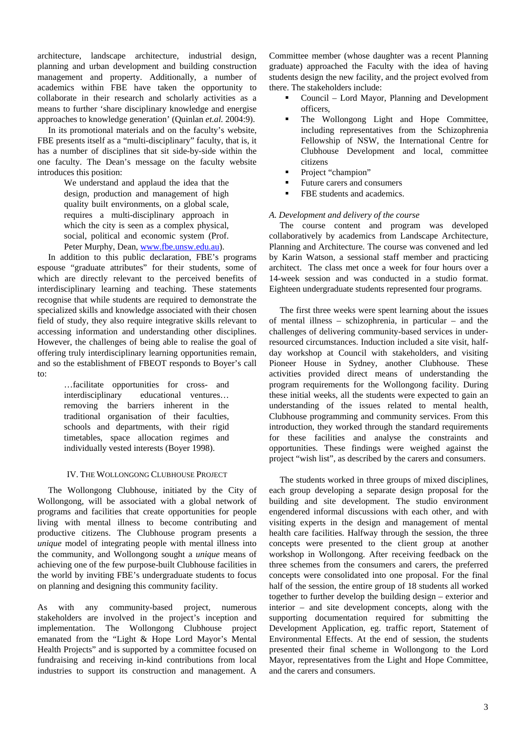architecture, landscape architecture, industrial design, planning and urban development and building construction management and property. Additionally, a number of academics within FBE have taken the opportunity to collaborate in their research and scholarly activities as a means to further 'share disciplinary knowledge and energise approaches to knowledge generation' (Quinlan *et.al.* 2004:9).

 In its promotional materials and on the faculty's website, FBE presents itself as a "multi-disciplinary" faculty, that is, it has a number of disciplines that sit side-by-side within the one faculty. The Dean's message on the faculty website introduces this position:

> We understand and applaud the idea that the design, production and management of high quality built environments, on a global scale, requires a multi-disciplinary approach in which the city is seen as a complex physical, social, political and economic system (Prof. Peter Murphy, Dean, www.fbe.unsw.edu.au).

 In addition to this public declaration, FBE's programs espouse "graduate attributes" for their students, some of which are directly relevant to the perceived benefits of interdisciplinary learning and teaching. These statements recognise that while students are required to demonstrate the specialized skills and knowledge associated with their chosen field of study, they also require integrative skills relevant to accessing information and understanding other disciplines. However, the challenges of being able to realise the goal of offering truly interdisciplinary learning opportunities remain, and so the establishment of FBEOT responds to Boyer's call to:

> …facilitate opportunities for cross- and interdisciplinary educational ventures… removing the barriers inherent in the traditional organisation of their faculties, schools and departments, with their rigid timetables, space allocation regimes and individually vested interests (Boyer 1998).

#### IV. THE WOLLONGONG CLUBHOUSE PROJECT

 The Wollongong Clubhouse, initiated by the City of Wollongong, will be associated with a global network of programs and facilities that create opportunities for people living with mental illness to become contributing and productive citizens. The Clubhouse program presents a *unique* model of integrating people with mental illness into the community, and Wollongong sought a *unique* means of achieving one of the few purpose-built Clubhouse facilities in the world by inviting FBE's undergraduate students to focus on planning and designing this community facility.

As with any community-based project, numerous stakeholders are involved in the project's inception and implementation. The Wollongong Clubhouse project emanated from the "Light & Hope Lord Mayor's Mental Health Projects" and is supported by a committee focused on fundraising and receiving in-kind contributions from local industries to support its construction and management. A Committee member (whose daughter was a recent Planning graduate) approached the Faculty with the idea of having students design the new facility, and the project evolved from there. The stakeholders include:

- Council Lord Mayor, Planning and Development officers,
- The Wollongong Light and Hope Committee, including representatives from the Schizophrenia Fellowship of NSW, the International Centre for Clubhouse Development and local, committee citizens
- Project "champion"
- Future carers and consumers
- FBE students and academics.

#### *A. Development and delivery of the course*

 The course content and program was developed collaboratively by academics from Landscape Architecture, Planning and Architecture. The course was convened and led by Karin Watson, a sessional staff member and practicing architect. The class met once a week for four hours over a 14-week session and was conducted in a studio format. Eighteen undergraduate students represented four programs.

 The first three weeks were spent learning about the issues of mental illness – schizophrenia, in particular – and the challenges of delivering community-based services in underresourced circumstances. Induction included a site visit, halfday workshop at Council with stakeholders, and visiting Pioneer House in Sydney, another Clubhouse. These activities provided direct means of understanding the program requirements for the Wollongong facility. During these initial weeks, all the students were expected to gain an understanding of the issues related to mental health, Clubhouse programming and community services. From this introduction, they worked through the standard requirements for these facilities and analyse the constraints and opportunities. These findings were weighed against the project "wish list", as described by the carers and consumers.

 The students worked in three groups of mixed disciplines, each group developing a separate design proposal for the building and site development. The studio environment engendered informal discussions with each other, and with visiting experts in the design and management of mental health care facilities. Halfway through the session, the three concepts were presented to the client group at another workshop in Wollongong. After receiving feedback on the three schemes from the consumers and carers, the preferred concepts were consolidated into one proposal. For the final half of the session, the entire group of 18 students all worked together to further develop the building design – exterior and interior – and site development concepts, along with the supporting documentation required for submitting the Development Application, eg. traffic report, Statement of Environmental Effects. At the end of session, the students presented their final scheme in Wollongong to the Lord Mayor, representatives from the Light and Hope Committee, and the carers and consumers.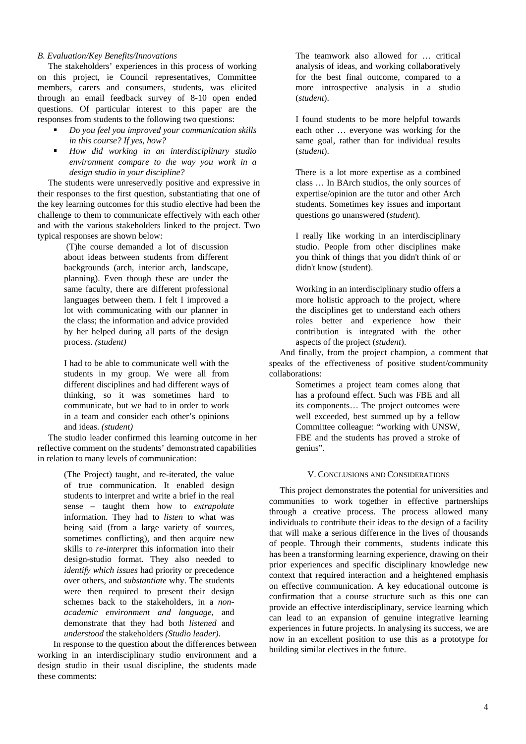#### *B. Evaluation/Key Benefits/Innovations*

 The stakeholders' experiences in this process of working on this project, ie Council representatives, Committee members, carers and consumers, students, was elicited through an email feedback survey of 8-10 open ended questions. Of particular interest to this paper are the responses from students to the following two questions:

- *Do you feel you improved your communication skills in this course? If yes, how?*
- *How did working in an interdisciplinary studio environment compare to the way you work in a design studio in your discipline?*

 The students were unreservedly positive and expressive in their responses to the first question, substantiating that one of the key learning outcomes for this studio elective had been the challenge to them to communicate effectively with each other and with the various stakeholders linked to the project. Two typical responses are shown below:

 (T)he course demanded a lot of discussion about ideas between students from different backgrounds (arch, interior arch, landscape, planning). Even though these are under the same faculty, there are different professional languages between them. I felt I improved a lot with communicating with our planner in the class; the information and advice provided by her helped during all parts of the design process. *(student)* 

I had to be able to communicate well with the students in my group. We were all from different disciplines and had different ways of thinking, so it was sometimes hard to communicate, but we had to in order to work in a team and consider each other's opinions and ideas. *(student)*

 The studio leader confirmed this learning outcome in her reflective comment on the students' demonstrated capabilities in relation to many levels of communication:

> (The Project) taught, and re-iterated, the value of true communication. It enabled design students to interpret and write a brief in the real sense – taught them how to *extrapolate*  information. They had to *listen* to what was being said (from a large variety of sources, sometimes conflicting), and then acquire new skills to *re-interpret* this information into their design-studio format. They also needed to *identify which issues* had priority or precedence over others, and *substantiate* why. The students were then required to present their design schemes back to the stakeholders, in a *nonacademic environment and language,* and demonstrate that they had both *listened* and *understood* the stakeholders *(Studio leader).*

 In response to the question about the differences between working in an interdisciplinary studio environment and a design studio in their usual discipline, the students made these comments:

The teamwork also allowed for … critical analysis of ideas, and working collaboratively for the best final outcome, compared to a more introspective analysis in a studio (*student*).

I found students to be more helpful towards each other … everyone was working for the same goal, rather than for individual results (*student*).

There is a lot more expertise as a combined class … In BArch studios, the only sources of expertise/opinion are the tutor and other Arch students. Sometimes key issues and important questions go unanswered (*student*).

I really like working in an interdisciplinary studio. People from other disciplines make you think of things that you didn't think of or didn't know (student).

Working in an interdisciplinary studio offers a more holistic approach to the project, where the disciplines get to understand each others roles better and experience how their contribution is integrated with the other aspects of the project (*student*).

 And finally, from the project champion, a comment that speaks of the effectiveness of positive student/community collaborations:

> Sometimes a project team comes along that has a profound effect. Such was FBE and all its components… The project outcomes were well exceeded, best summed up by a fellow Committee colleague: "working with UNSW, FBE and the students has proved a stroke of genius".

#### V. CONCLUSIONS AND CONSIDERATIONS

 This project demonstrates the potential for universities and communities to work together in effective partnerships through a creative process. The process allowed many individuals to contribute their ideas to the design of a facility that will make a serious difference in the lives of thousands of people. Through their comments, students indicate this has been a transforming learning experience, drawing on their prior experiences and specific disciplinary knowledge new context that required interaction and a heightened emphasis on effective communication. A key educational outcome is confirmation that a course structure such as this one can provide an effective interdisciplinary, service learning which can lead to an expansion of genuine integrative learning experiences in future projects. In analysing its success, we are now in an excellent position to use this as a prototype for building similar electives in the future.